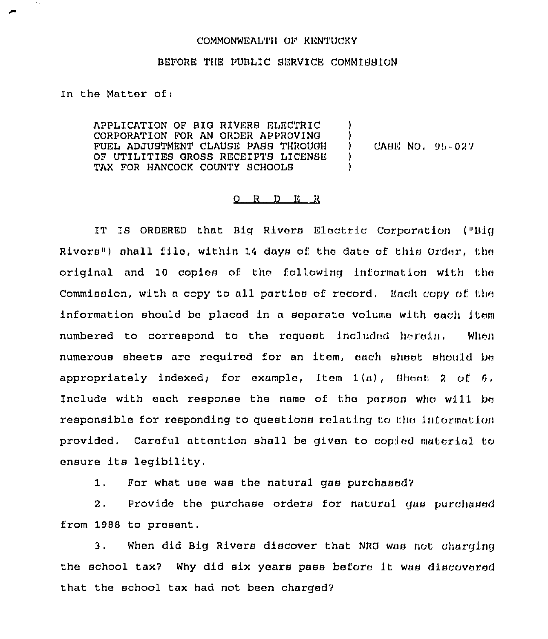## COMMONWEALTH OF KENTUCKY

## BEFORE THE PUBLIC SERVICE COMMISSION

In the Mattor of:

 $\boldsymbol{\gamma}$ 

APPLICATION OF BIG RIVERS ELECTRIC CORPORATION FOR AN ORDER APPROVING FUEL ADJUSTMENT CLAUSE PASS THROUGH OF UTILITIES GROSS RECEIPTS LICENSE TAX FOR HANCOCK COUNTY SCHOOLS ) ) ) )

CASE NO, 95-027

## $Q$  R D E R

IT IS ORDERED that Big Rivers Electric Corporation ("Big Rivers") shall filo, within 14 days of the date of this Order, the original and 10 copios of the following information with tho Commission, with a copy to all parties of record. Each copy of the information should be placed in a separate volume with each Item numbered to correspond to tho request included heroin. When numerous sheets aro required for an itom, each sheet should bo appropriately indexed; for example, Item  $1(a)$ , Shoot 2 of 6, Include with each response the name of the porson who will be responsible for responding to questions relating to the information provided. Careful attention shall be givon to copied material to ensure its legibility.

 $1.1$ For what use was the natural gas purchased?

2. Provide the purchase orders for natural gas purchased from 1988 to present.

3. When did Big Rivers discover that NRG was not charging the school tax7 Why did six years pass before it was discovered that the school tax had not been charged?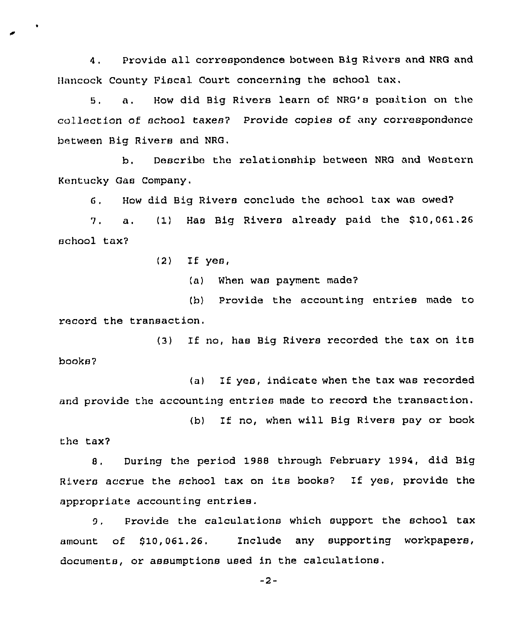4. Provide all correspondence between Big Rivers and NRG and Hancock County Fiscal Court concerning the school tax.

8, a. How did Big Rivers learn of NRG's position on the collection of school taxes? Provide copies of any correspondence between Big Rivers and NRG.

b, Describe the relationship between NRG and Western Kentucky Gas Company.

6, How did Big Rivers conclude the school tax was owed?

7. a, (1) Hae Big Rivers already paid the \$10,061.26 school tax7

(2) If yes,

(a) When was payment made7

(b) Provide the accounting entries made to record the transaction.

(3) If no, has Big Rivers recorded the tax on its books7

(a) If yes, indicate when the tax was recorded and provide the accounting entries made to record the transaction.

(b) If no, when will Big Rivers pay or book the tax7

8, During the period 1988 through February 1994, did Big Rivers accrue the school tax on its books? If yes, provide the appropriate accounting entries.

9, Provide the calculations which support the school tax amount of 810, 061.26. Include any supporting workpapers, documents, or assumptions used in the calculations.